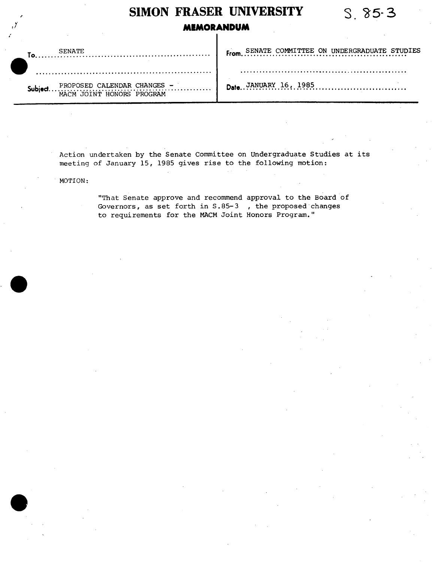## **SiMON FRASER UNIVERSITY** *S. 5-3*  **MEMORANDUM From.** SENATE COMMITTEE ON UNDERGRADUATE STUDIES SENATE **To**  $\overline{1}$  . . . . . Date.. JANUARY 16, 1985...................... **bject** PROPOSED CALENDAR CHANGES -<br>MACM JOINT HONORS PROGRAM

Action undertaken by the Senate Committee on Undergraduate Studies at its meeting of January 15, 1985 gives rise to the following motion:

MOTION:

 $\bullet$ 

 $\bullet$ 

"That Senate approve and recommend approval to the Board of Governors, as set forth in S.85-3 , the proposed changes to requirements for the MACM Joint Honors Program."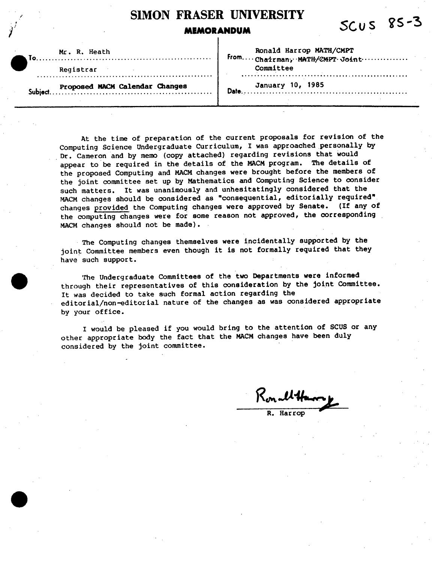## **SiMON FRASER UNIVERSITY**  MEMORANDUM SCUS 85-3

Mr. R. Heath

Registrar

To. . . .

Ronald Harrop MATH/CMPT **From.. ..** Chairman, **M\*Tff/CPT**. Jotht............... Committee

**Proposed MACM Calendar Changes Sub1ect..........................................**

January 10, 1985 **Date** ......................................................

At the time of preparation of the current proposals for revision of the Computing Science Undergraduate Curriculum, I was approached personally by Dr. Cameron and by memo (copy attached) regarding revisions that would appear to be required in the details of the MACM program. The details of the proposed Computing and MACM changes were brought before the members of the joint committee set up by Mathematics and Computing Science to consider such matters. It was unanimously and unhesitatingly considered that the MACM changes should be considered as "consequential, editorially required". changes provided the Computing changes were approved by Senate. (If any of the computing changes were for some reason not approved, the corresponding MACM changes should not be made).

The Computing changes themselves were incidentally supported by the joint Committee members even though it is not formally required that they have such support.

. The Undergraduate Committees of the two Departments were informed through their representatives of this consideration by the joint Committee. It was decided to take such formal action regarding the editorial/non-editorial nature of the changes as was considered appropriate by your office.

I would be pleased if you would bring to the attention of SCUS or any other appropriate body the fact that the MACM changes have been duly considered by the joint committee.

Konnel **Ha** 

**Harrop**